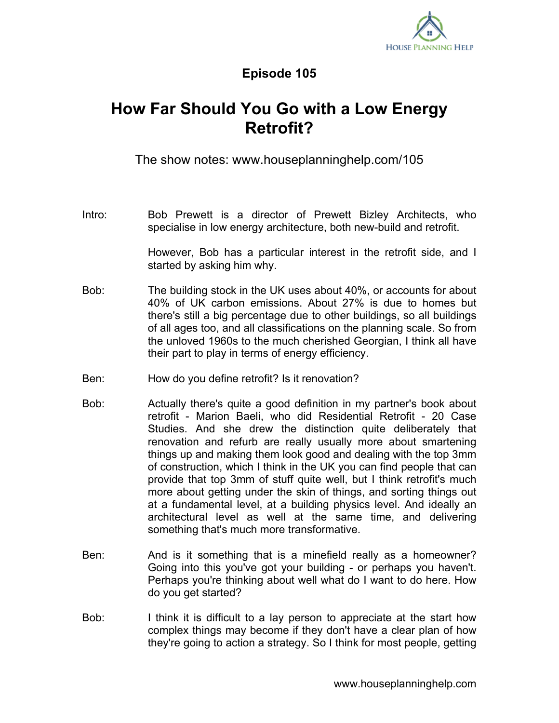

## **Episode 105**

## **How Far Should You Go with a Low Energy Retrofit?**

The show notes: www.houseplanninghelp.com/105

Intro: Bob Prewett is a director of Prewett Bizley Architects, who specialise in low energy architecture, both new-build and retrofit.

> However, Bob has a particular interest in the retrofit side, and I started by asking him why.

- Bob: The building stock in the UK uses about 40%, or accounts for about 40% of UK carbon emissions. About 27% is due to homes but there's still a big percentage due to other buildings, so all buildings of all ages too, and all classifications on the planning scale. So from the unloved 1960s to the much cherished Georgian, I think all have their part to play in terms of energy efficiency.
- Ben: How do you define retrofit? Is it renovation?
- Bob: Actually there's quite a good definition in my partner's book about retrofit - Marion Baeli, who did Residential Retrofit - 20 Case Studies. And she drew the distinction quite deliberately that renovation and refurb are really usually more about smartening things up and making them look good and dealing with the top 3mm of construction, which I think in the UK you can find people that can provide that top 3mm of stuff quite well, but I think retrofit's much more about getting under the skin of things, and sorting things out at a fundamental level, at a building physics level. And ideally an architectural level as well at the same time, and delivering something that's much more transformative.
- Ben: And is it something that is a minefield really as a homeowner? Going into this you've got your building - or perhaps you haven't. Perhaps you're thinking about well what do I want to do here. How do you get started?
- Bob: I think it is difficult to a lay person to appreciate at the start how complex things may become if they don't have a clear plan of how they're going to action a strategy. So I think for most people, getting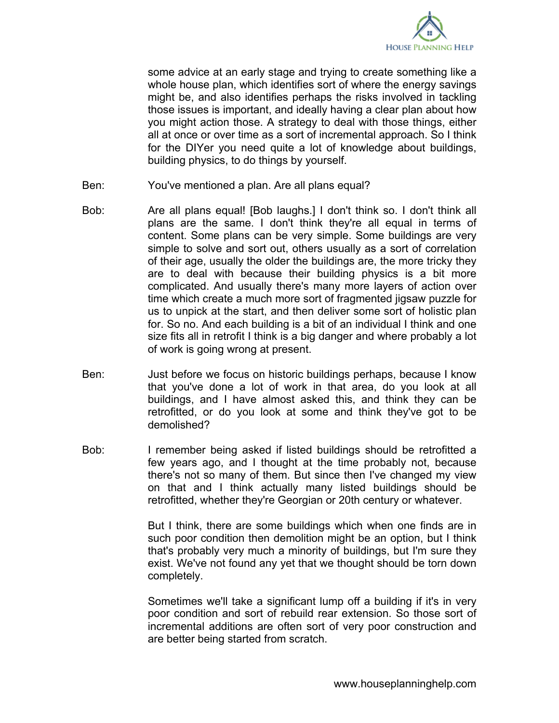

some advice at an early stage and trying to create something like a whole house plan, which identifies sort of where the energy savings might be, and also identifies perhaps the risks involved in tackling those issues is important, and ideally having a clear plan about how you might action those. A strategy to deal with those things, either all at once or over time as a sort of incremental approach. So I think for the DIYer you need quite a lot of knowledge about buildings, building physics, to do things by yourself.

- Ben: You've mentioned a plan. Are all plans equal?
- Bob: Are all plans equal! [Bob laughs.] I don't think so. I don't think all plans are the same. I don't think they're all equal in terms of content. Some plans can be very simple. Some buildings are very simple to solve and sort out, others usually as a sort of correlation of their age, usually the older the buildings are, the more tricky they are to deal with because their building physics is a bit more complicated. And usually there's many more layers of action over time which create a much more sort of fragmented jigsaw puzzle for us to unpick at the start, and then deliver some sort of holistic plan for. So no. And each building is a bit of an individual I think and one size fits all in retrofit I think is a big danger and where probably a lot of work is going wrong at present.
- Ben: Just before we focus on historic buildings perhaps, because I know that you've done a lot of work in that area, do you look at all buildings, and I have almost asked this, and think they can be retrofitted, or do you look at some and think they've got to be demolished?
- Bob: I remember being asked if listed buildings should be retrofitted a few years ago, and I thought at the time probably not, because there's not so many of them. But since then I've changed my view on that and I think actually many listed buildings should be retrofitted, whether they're Georgian or 20th century or whatever.

But I think, there are some buildings which when one finds are in such poor condition then demolition might be an option, but I think that's probably very much a minority of buildings, but I'm sure they exist. We've not found any yet that we thought should be torn down completely.

Sometimes we'll take a significant lump off a building if it's in very poor condition and sort of rebuild rear extension. So those sort of incremental additions are often sort of very poor construction and are better being started from scratch.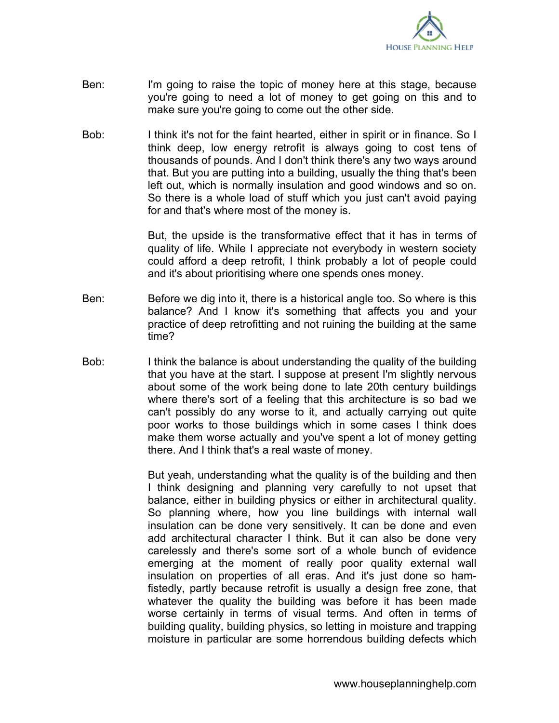

- Ben: I'm going to raise the topic of money here at this stage, because you're going to need a lot of money to get going on this and to make sure you're going to come out the other side.
- Bob: I think it's not for the faint hearted, either in spirit or in finance. So I think deep, low energy retrofit is always going to cost tens of thousands of pounds. And I don't think there's any two ways around that. But you are putting into a building, usually the thing that's been left out, which is normally insulation and good windows and so on. So there is a whole load of stuff which you just can't avoid paying for and that's where most of the money is.

But, the upside is the transformative effect that it has in terms of quality of life. While I appreciate not everybody in western society could afford a deep retrofit, I think probably a lot of people could and it's about prioritising where one spends ones money.

- Ben: Before we dig into it, there is a historical angle too. So where is this balance? And I know it's something that affects you and your practice of deep retrofitting and not ruining the building at the same time?
- Bob: I think the balance is about understanding the quality of the building that you have at the start. I suppose at present I'm slightly nervous about some of the work being done to late 20th century buildings where there's sort of a feeling that this architecture is so bad we can't possibly do any worse to it, and actually carrying out quite poor works to those buildings which in some cases I think does make them worse actually and you've spent a lot of money getting there. And I think that's a real waste of money.

But yeah, understanding what the quality is of the building and then I think designing and planning very carefully to not upset that balance, either in building physics or either in architectural quality. So planning where, how you line buildings with internal wall insulation can be done very sensitively. It can be done and even add architectural character I think. But it can also be done very carelessly and there's some sort of a whole bunch of evidence emerging at the moment of really poor quality external wall insulation on properties of all eras. And it's just done so hamfistedly, partly because retrofit is usually a design free zone, that whatever the quality the building was before it has been made worse certainly in terms of visual terms. And often in terms of building quality, building physics, so letting in moisture and trapping moisture in particular are some horrendous building defects which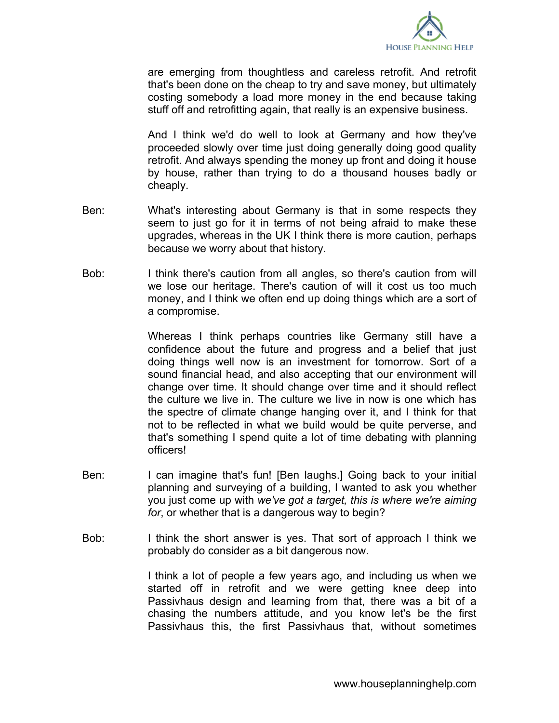

are emerging from thoughtless and careless retrofit. And retrofit that's been done on the cheap to try and save money, but ultimately costing somebody a load more money in the end because taking stuff off and retrofitting again, that really is an expensive business.

And I think we'd do well to look at Germany and how they've proceeded slowly over time just doing generally doing good quality retrofit. And always spending the money up front and doing it house by house, rather than trying to do a thousand houses badly or cheaply.

- Ben: What's interesting about Germany is that in some respects they seem to just go for it in terms of not being afraid to make these upgrades, whereas in the UK I think there is more caution, perhaps because we worry about that history.
- Bob: I think there's caution from all angles, so there's caution from will we lose our heritage. There's caution of will it cost us too much money, and I think we often end up doing things which are a sort of a compromise.

Whereas I think perhaps countries like Germany still have a confidence about the future and progress and a belief that just doing things well now is an investment for tomorrow. Sort of a sound financial head, and also accepting that our environment will change over time. It should change over time and it should reflect the culture we live in. The culture we live in now is one which has the spectre of climate change hanging over it, and I think for that not to be reflected in what we build would be quite perverse, and that's something I spend quite a lot of time debating with planning officers!

- Ben: I can imagine that's fun! [Ben laughs.] Going back to your initial planning and surveying of a building, I wanted to ask you whether you just come up with *we've got a target, this is where we're aiming for*, or whether that is a dangerous way to begin?
- Bob: I think the short answer is yes. That sort of approach I think we probably do consider as a bit dangerous now.

I think a lot of people a few years ago, and including us when we started off in retrofit and we were getting knee deep into Passivhaus design and learning from that, there was a bit of a chasing the numbers attitude, and you know let's be the first Passivhaus this, the first Passivhaus that, without sometimes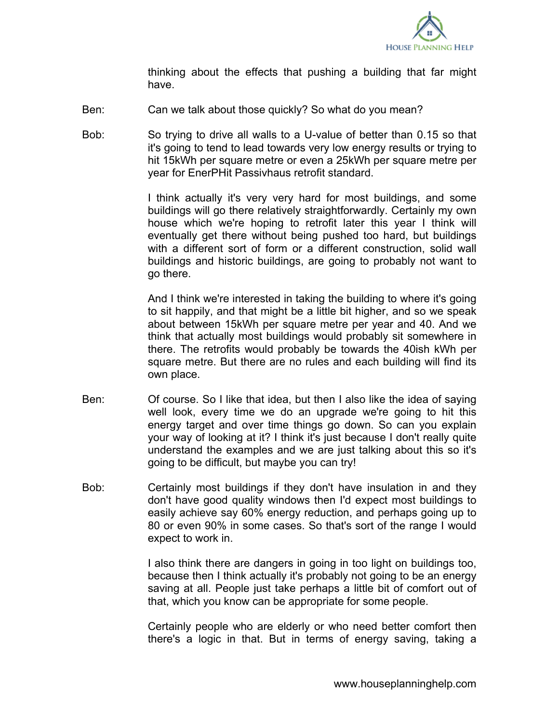

thinking about the effects that pushing a building that far might have.

- Ben: Can we talk about those quickly? So what do you mean?
- Bob: So trying to drive all walls to a U-value of better than 0.15 so that it's going to tend to lead towards very low energy results or trying to hit 15kWh per square metre or even a 25kWh per square metre per year for EnerPHit Passivhaus retrofit standard.

I think actually it's very very hard for most buildings, and some buildings will go there relatively straightforwardly. Certainly my own house which we're hoping to retrofit later this year I think will eventually get there without being pushed too hard, but buildings with a different sort of form or a different construction, solid wall buildings and historic buildings, are going to probably not want to go there.

And I think we're interested in taking the building to where it's going to sit happily, and that might be a little bit higher, and so we speak about between 15kWh per square metre per year and 40. And we think that actually most buildings would probably sit somewhere in there. The retrofits would probably be towards the 40ish kWh per square metre. But there are no rules and each building will find its own place.

- Ben: Of course. So I like that idea, but then I also like the idea of saying well look, every time we do an upgrade we're going to hit this energy target and over time things go down. So can you explain your way of looking at it? I think it's just because I don't really quite understand the examples and we are just talking about this so it's going to be difficult, but maybe you can try!
- Bob: Certainly most buildings if they don't have insulation in and they don't have good quality windows then I'd expect most buildings to easily achieve say 60% energy reduction, and perhaps going up to 80 or even 90% in some cases. So that's sort of the range I would expect to work in.

I also think there are dangers in going in too light on buildings too, because then I think actually it's probably not going to be an energy saving at all. People just take perhaps a little bit of comfort out of that, which you know can be appropriate for some people.

Certainly people who are elderly or who need better comfort then there's a logic in that. But in terms of energy saving, taking a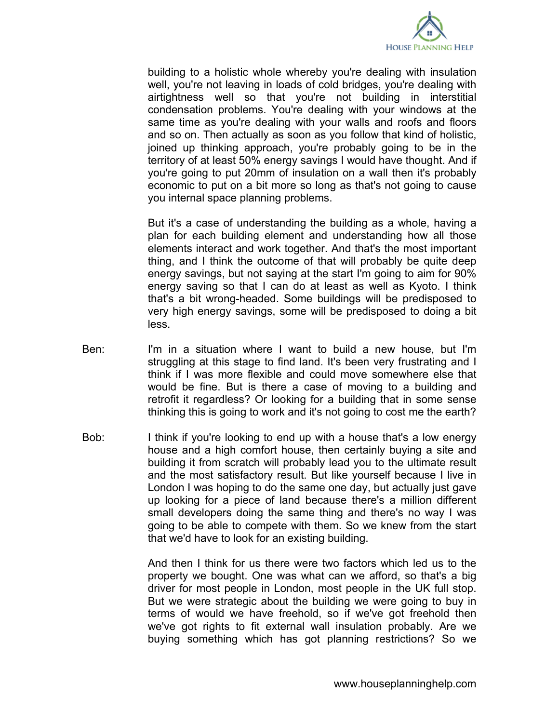

building to a holistic whole whereby you're dealing with insulation well, you're not leaving in loads of cold bridges, you're dealing with airtightness well so that you're not building in interstitial condensation problems. You're dealing with your windows at the same time as you're dealing with your walls and roofs and floors and so on. Then actually as soon as you follow that kind of holistic, joined up thinking approach, you're probably going to be in the territory of at least 50% energy savings I would have thought. And if you're going to put 20mm of insulation on a wall then it's probably economic to put on a bit more so long as that's not going to cause you internal space planning problems.

But it's a case of understanding the building as a whole, having a plan for each building element and understanding how all those elements interact and work together. And that's the most important thing, and I think the outcome of that will probably be quite deep energy savings, but not saying at the start I'm going to aim for 90% energy saving so that I can do at least as well as Kyoto. I think that's a bit wrong-headed. Some buildings will be predisposed to very high energy savings, some will be predisposed to doing a bit less.

- Ben: I'm in a situation where I want to build a new house, but I'm struggling at this stage to find land. It's been very frustrating and I think if I was more flexible and could move somewhere else that would be fine. But is there a case of moving to a building and retrofit it regardless? Or looking for a building that in some sense thinking this is going to work and it's not going to cost me the earth?
- Bob: I think if you're looking to end up with a house that's a low energy house and a high comfort house, then certainly buying a site and building it from scratch will probably lead you to the ultimate result and the most satisfactory result. But like yourself because I live in London I was hoping to do the same one day, but actually just gave up looking for a piece of land because there's a million different small developers doing the same thing and there's no way I was going to be able to compete with them. So we knew from the start that we'd have to look for an existing building.

And then I think for us there were two factors which led us to the property we bought. One was what can we afford, so that's a big driver for most people in London, most people in the UK full stop. But we were strategic about the building we were going to buy in terms of would we have freehold, so if we've got freehold then we've got rights to fit external wall insulation probably. Are we buying something which has got planning restrictions? So we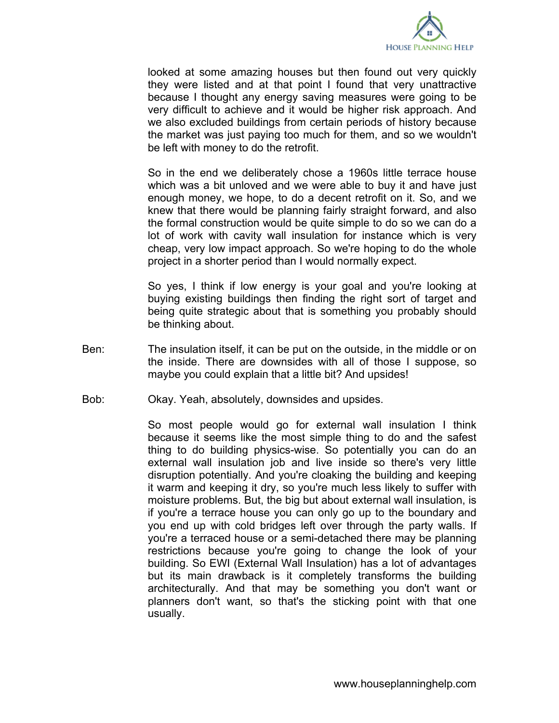

looked at some amazing houses but then found out very quickly they were listed and at that point I found that very unattractive because I thought any energy saving measures were going to be very difficult to achieve and it would be higher risk approach. And we also excluded buildings from certain periods of history because the market was just paying too much for them, and so we wouldn't be left with money to do the retrofit.

So in the end we deliberately chose a 1960s little terrace house which was a bit unloved and we were able to buy it and have just enough money, we hope, to do a decent retrofit on it. So, and we knew that there would be planning fairly straight forward, and also the formal construction would be quite simple to do so we can do a lot of work with cavity wall insulation for instance which is very cheap, very low impact approach. So we're hoping to do the whole project in a shorter period than I would normally expect.

So yes, I think if low energy is your goal and you're looking at buying existing buildings then finding the right sort of target and being quite strategic about that is something you probably should be thinking about.

- Ben: The insulation itself, it can be put on the outside, in the middle or on the inside. There are downsides with all of those I suppose, so maybe you could explain that a little bit? And upsides!
- Bob: Okay. Yeah, absolutely, downsides and upsides.

So most people would go for external wall insulation I think because it seems like the most simple thing to do and the safest thing to do building physics-wise. So potentially you can do an external wall insulation job and live inside so there's very little disruption potentially. And you're cloaking the building and keeping it warm and keeping it dry, so you're much less likely to suffer with moisture problems. But, the big but about external wall insulation, is if you're a terrace house you can only go up to the boundary and you end up with cold bridges left over through the party walls. If you're a terraced house or a semi-detached there may be planning restrictions because you're going to change the look of your building. So EWI (External Wall Insulation) has a lot of advantages but its main drawback is it completely transforms the building architecturally. And that may be something you don't want or planners don't want, so that's the sticking point with that one usually.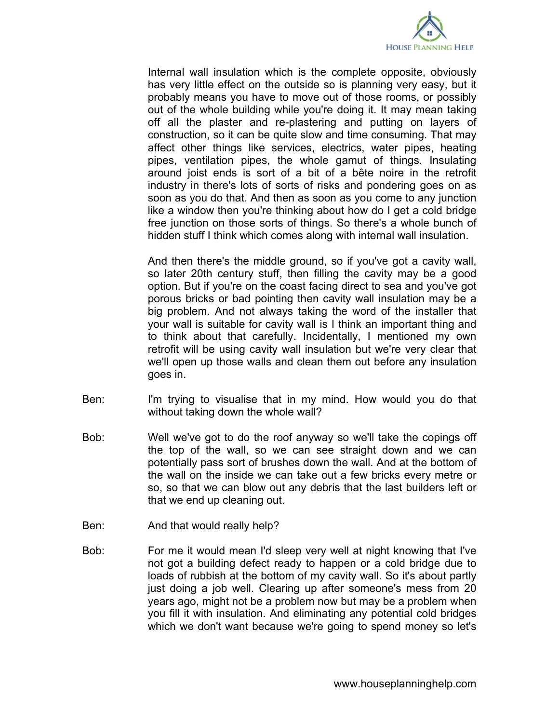

Internal wall insulation which is the complete opposite, obviously has very little effect on the outside so is planning very easy, but it probably means you have to move out of those rooms, or possibly out of the whole building while you're doing it. It may mean taking off all the plaster and re-plastering and putting on layers of construction, so it can be quite slow and time consuming. That may affect other things like services, electrics, water pipes, heating pipes, ventilation pipes, the whole gamut of things. Insulating around joist ends is sort of a bit of a bête noire in the retrofit industry in there's lots of sorts of risks and pondering goes on as soon as you do that. And then as soon as you come to any junction like a window then you're thinking about how do I get a cold bridge free junction on those sorts of things. So there's a whole bunch of hidden stuff I think which comes along with internal wall insulation.

And then there's the middle ground, so if you've got a cavity wall, so later 20th century stuff, then filling the cavity may be a good option. But if you're on the coast facing direct to sea and you've got porous bricks or bad pointing then cavity wall insulation may be a big problem. And not always taking the word of the installer that your wall is suitable for cavity wall is I think an important thing and to think about that carefully. Incidentally, I mentioned my own retrofit will be using cavity wall insulation but we're very clear that we'll open up those walls and clean them out before any insulation goes in.

- Ben: I'm trying to visualise that in my mind. How would you do that without taking down the whole wall?
- Bob: Well we've got to do the roof anyway so we'll take the copings off the top of the wall, so we can see straight down and we can potentially pass sort of brushes down the wall. And at the bottom of the wall on the inside we can take out a few bricks every metre or so, so that we can blow out any debris that the last builders left or that we end up cleaning out.
- Ben: And that would really help?
- Bob: For me it would mean I'd sleep very well at night knowing that I've not got a building defect ready to happen or a cold bridge due to loads of rubbish at the bottom of my cavity wall. So it's about partly just doing a job well. Clearing up after someone's mess from 20 years ago, might not be a problem now but may be a problem when you fill it with insulation. And eliminating any potential cold bridges which we don't want because we're going to spend money so let's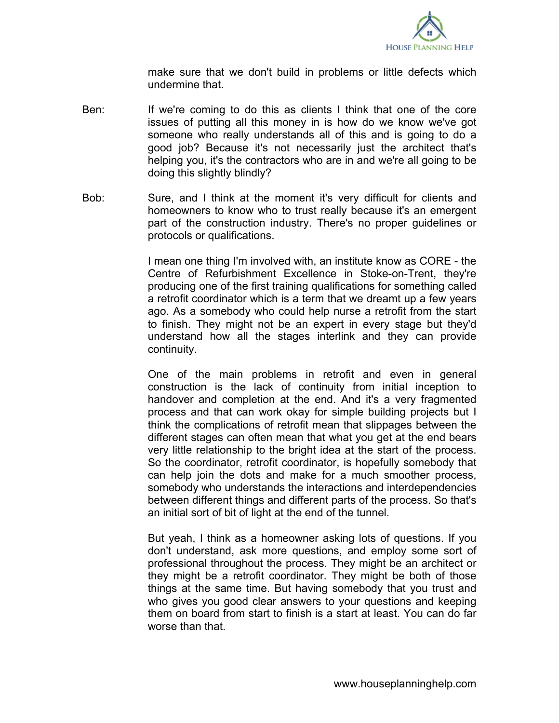

make sure that we don't build in problems or little defects which undermine that.

- Ben: If we're coming to do this as clients I think that one of the core issues of putting all this money in is how do we know we've got someone who really understands all of this and is going to do a good job? Because it's not necessarily just the architect that's helping you, it's the contractors who are in and we're all going to be doing this slightly blindly?
- Bob: Sure, and I think at the moment it's very difficult for clients and homeowners to know who to trust really because it's an emergent part of the construction industry. There's no proper guidelines or protocols or qualifications.

I mean one thing I'm involved with, an institute know as CORE - the Centre of Refurbishment Excellence in Stoke-on-Trent, they're producing one of the first training qualifications for something called a retrofit coordinator which is a term that we dreamt up a few years ago. As a somebody who could help nurse a retrofit from the start to finish. They might not be an expert in every stage but they'd understand how all the stages interlink and they can provide continuity.

One of the main problems in retrofit and even in general construction is the lack of continuity from initial inception to handover and completion at the end. And it's a very fragmented process and that can work okay for simple building projects but I think the complications of retrofit mean that slippages between the different stages can often mean that what you get at the end bears very little relationship to the bright idea at the start of the process. So the coordinator, retrofit coordinator, is hopefully somebody that can help join the dots and make for a much smoother process, somebody who understands the interactions and interdependencies between different things and different parts of the process. So that's an initial sort of bit of light at the end of the tunnel.

But yeah, I think as a homeowner asking lots of questions. If you don't understand, ask more questions, and employ some sort of professional throughout the process. They might be an architect or they might be a retrofit coordinator. They might be both of those things at the same time. But having somebody that you trust and who gives you good clear answers to your questions and keeping them on board from start to finish is a start at least. You can do far worse than that.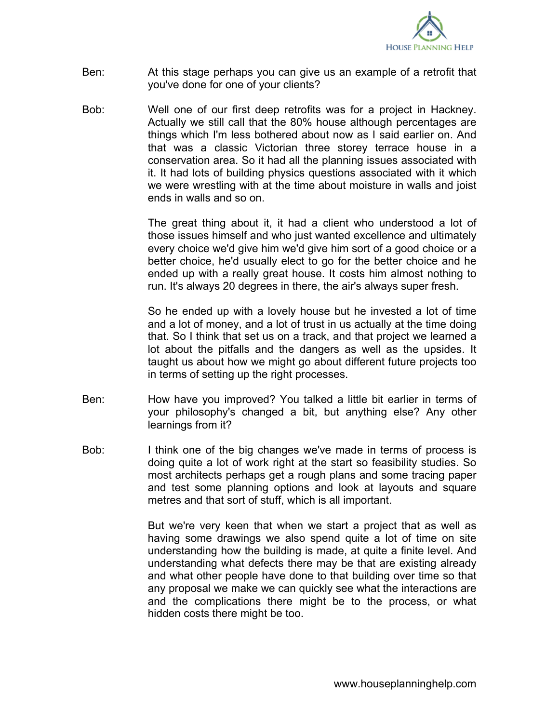

- Ben: At this stage perhaps you can give us an example of a retrofit that you've done for one of your clients?
- Bob: Well one of our first deep retrofits was for a project in Hackney. Actually we still call that the 80% house although percentages are things which I'm less bothered about now as I said earlier on. And that was a classic Victorian three storey terrace house in a conservation area. So it had all the planning issues associated with it. It had lots of building physics questions associated with it which we were wrestling with at the time about moisture in walls and joist ends in walls and so on.

The great thing about it, it had a client who understood a lot of those issues himself and who just wanted excellence and ultimately every choice we'd give him we'd give him sort of a good choice or a better choice, he'd usually elect to go for the better choice and he ended up with a really great house. It costs him almost nothing to run. It's always 20 degrees in there, the air's always super fresh.

So he ended up with a lovely house but he invested a lot of time and a lot of money, and a lot of trust in us actually at the time doing that. So I think that set us on a track, and that project we learned a lot about the pitfalls and the dangers as well as the upsides. It taught us about how we might go about different future projects too in terms of setting up the right processes.

- Ben: How have you improved? You talked a little bit earlier in terms of your philosophy's changed a bit, but anything else? Any other learnings from it?
- Bob: I think one of the big changes we've made in terms of process is doing quite a lot of work right at the start so feasibility studies. So most architects perhaps get a rough plans and some tracing paper and test some planning options and look at layouts and square metres and that sort of stuff, which is all important.

But we're very keen that when we start a project that as well as having some drawings we also spend quite a lot of time on site understanding how the building is made, at quite a finite level. And understanding what defects there may be that are existing already and what other people have done to that building over time so that any proposal we make we can quickly see what the interactions are and the complications there might be to the process, or what hidden costs there might be too.